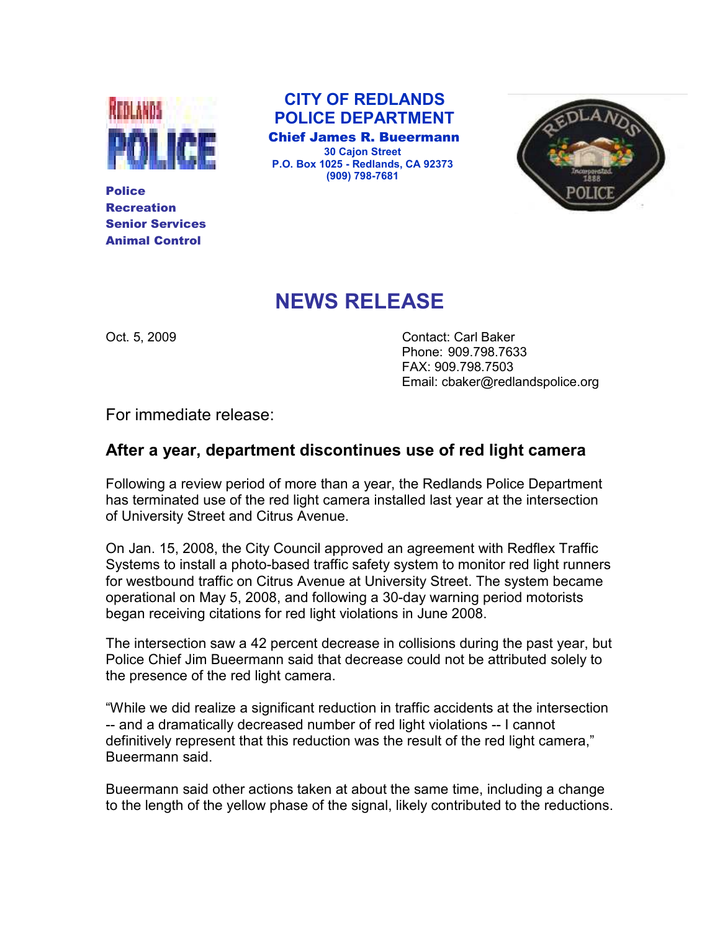

Police Recreation Senior Services Animal Control

 CITY OF REDLANDS POLICE DEPARTMENT

 Chief James R. Bueermann 30 Cajon Street P.O. Box 1025 - Redlands, CA 92373 (909) 798-7681



## NEWS RELEASE

Oct. 5, 2009 Contact: Carl Baker Phone: 909.798.7633 FAX: 909.798.7503 Email: cbaker@redlandspolice.org

For immediate release:

## After a year, department discontinues use of red light camera

Following a review period of more than a year, the Redlands Police Department has terminated use of the red light camera installed last year at the intersection of University Street and Citrus Avenue.

On Jan. 15, 2008, the City Council approved an agreement with Redflex Traffic Systems to install a photo-based traffic safety system to monitor red light runners for westbound traffic on Citrus Avenue at University Street. The system became operational on May 5, 2008, and following a 30-day warning period motorists began receiving citations for red light violations in June 2008.

The intersection saw a 42 percent decrease in collisions during the past year, but Police Chief Jim Bueermann said that decrease could not be attributed solely to the presence of the red light camera.

"While we did realize a significant reduction in traffic accidents at the intersection -- and a dramatically decreased number of red light violations -- I cannot definitively represent that this reduction was the result of the red light camera," Bueermann said.

Bueermann said other actions taken at about the same time, including a change to the length of the yellow phase of the signal, likely contributed to the reductions.